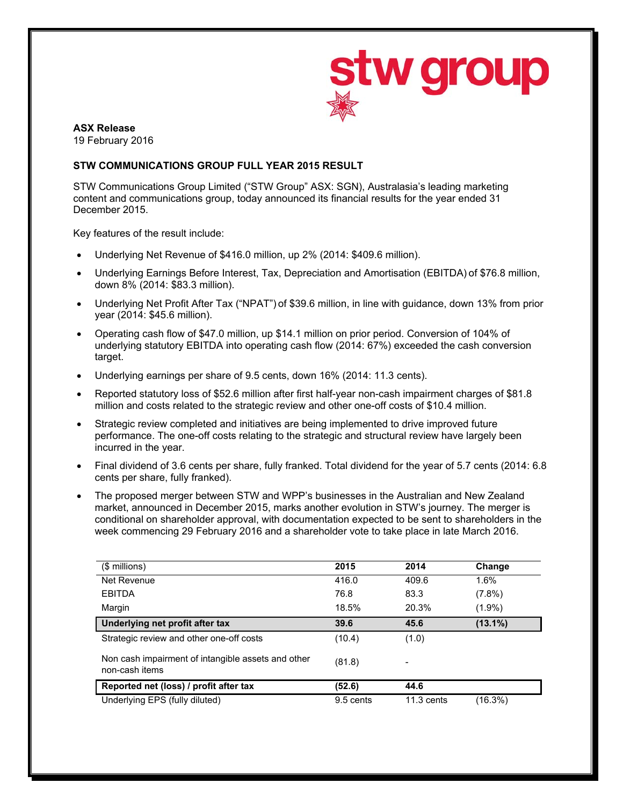

# **ASX Release**

19 February 2016

# **STW COMMUNICATIONS GROUP FULL YEAR 2015 RESULT**

STW Communications Group Limited ("STW Group" ASX: SGN), Australasia's leading marketing content and communications group, today announced its financial results for the year ended 31 December 2015.

Key features of the result include:

- Underlying Net Revenue of \$416.0 million, up 2% (2014: \$409.6 million).
- Underlying Earnings Before Interest, Tax, Depreciation and Amortisation (EBITDA) of \$76.8 million, down 8% (2014: \$83.3 million).
- Underlying Net Profit After Tax ("NPAT") of \$39.6 million, in line with guidance, down 13% from prior year (2014: \$45.6 million).
- Operating cash flow of \$47.0 million, up \$14.1 million on prior period. Conversion of 104% of underlying statutory EBITDA into operating cash flow (2014: 67%) exceeded the cash conversion target.
- Underlying earnings per share of 9.5 cents, down 16% (2014: 11.3 cents).
- Reported statutory loss of \$52.6 million after first half-year non-cash impairment charges of \$81.8 million and costs related to the strategic review and other one-off costs of \$10.4 million.
- Strategic review completed and initiatives are being implemented to drive improved future performance. The one-off costs relating to the strategic and structural review have largely been incurred in the year.
- Final dividend of 3.6 cents per share, fully franked. Total dividend for the year of 5.7 cents (2014: 6.8 cents per share, fully franked).
- The proposed merger between STW and WPP's businesses in the Australian and New Zealand market, announced in December 2015, marks another evolution in STW's journey. The merger is conditional on shareholder approval, with documentation expected to be sent to shareholders in the week commencing 29 February 2016 and a shareholder vote to take place in late March 2016.

| (\$ millions)                                                        | 2015      | 2014         | Change     |
|----------------------------------------------------------------------|-----------|--------------|------------|
| Net Revenue                                                          | 416.0     | 409.6        | 1.6%       |
| <b>EBITDA</b>                                                        | 76.8      | 83.3         | $(7.8\%)$  |
| Margin                                                               | 18.5%     | 20.3%        | $(1.9\%)$  |
| Underlying net profit after tax                                      | 39.6      | 45.6         | $(13.1\%)$ |
| Strategic review and other one-off costs                             | (10.4)    | (1.0)        |            |
| Non cash impairment of intangible assets and other<br>non-cash items | (81.8)    | ٠            |            |
| Reported net (loss) / profit after tax                               | (52.6)    | 44.6         |            |
| Underlying EPS (fully diluted)                                       | 9.5 cents | $11.3$ cents | (16.3%)    |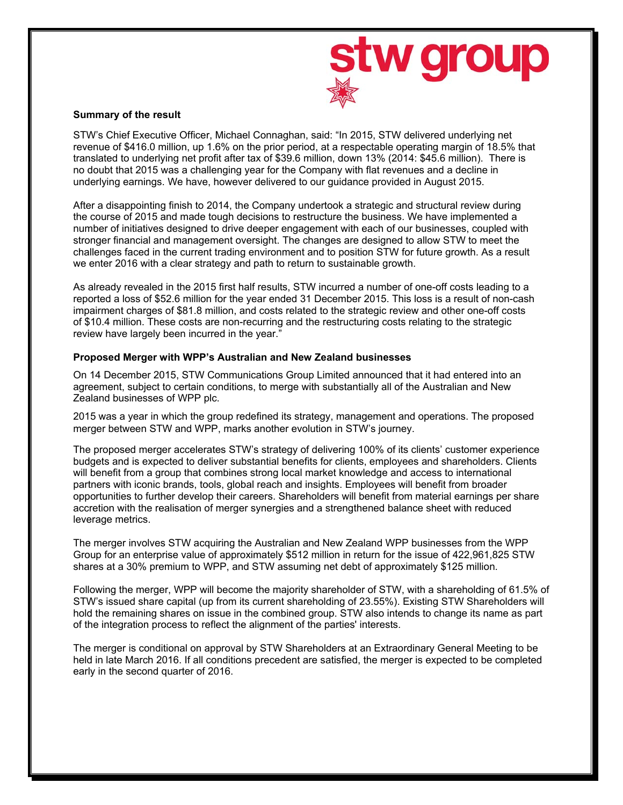

## **Summary of the result**

STW's Chief Executive Officer, Michael Connaghan, said: "In 2015, STW delivered underlying net revenue of \$416.0 million, up 1.6% on the prior period, at a respectable operating margin of 18.5% that translated to underlying net profit after tax of \$39.6 million, down 13% (2014: \$45.6 million). There is no doubt that 2015 was a challenging year for the Company with flat revenues and a decline in underlying earnings. We have, however delivered to our guidance provided in August 2015.

After a disappointing finish to 2014, the Company undertook a strategic and structural review during the course of 2015 and made tough decisions to restructure the business. We have implemented a number of initiatives designed to drive deeper engagement with each of our businesses, coupled with stronger financial and management oversight. The changes are designed to allow STW to meet the challenges faced in the current trading environment and to position STW for future growth. As a result we enter 2016 with a clear strategy and path to return to sustainable growth.

As already revealed in the 2015 first half results, STW incurred a number of one-off costs leading to a reported a loss of \$52.6 million for the year ended 31 December 2015. This loss is a result of non-cash impairment charges of \$81.8 million, and costs related to the strategic review and other one-off costs of \$10.4 million. These costs are non-recurring and the restructuring costs relating to the strategic review have largely been incurred in the year."

## **Proposed Merger with WPP's Australian and New Zealand businesses**

On 14 December 2015, STW Communications Group Limited announced that it had entered into an agreement, subject to certain conditions, to merge with substantially all of the Australian and New Zealand businesses of WPP plc.

2015 was a year in which the group redefined its strategy, management and operations. The proposed merger between STW and WPP, marks another evolution in STW's journey.

The proposed merger accelerates STW's strategy of delivering 100% of its clients' customer experience budgets and is expected to deliver substantial benefits for clients, employees and shareholders. Clients will benefit from a group that combines strong local market knowledge and access to international partners with iconic brands, tools, global reach and insights. Employees will benefit from broader opportunities to further develop their careers. Shareholders will benefit from material earnings per share accretion with the realisation of merger synergies and a strengthened balance sheet with reduced leverage metrics.

The merger involves STW acquiring the Australian and New Zealand WPP businesses from the WPP Group for an enterprise value of approximately \$512 million in return for the issue of 422,961,825 STW shares at a 30% premium to WPP, and STW assuming net debt of approximately \$125 million.

Following the merger, WPP will become the majority shareholder of STW, with a shareholding of 61.5% of STW's issued share capital (up from its current shareholding of 23.55%). Existing STW Shareholders will hold the remaining shares on issue in the combined group. STW also intends to change its name as part of the integration process to reflect the alignment of the parties' interests.

The merger is conditional on approval by STW Shareholders at an Extraordinary General Meeting to be held in late March 2016. If all conditions precedent are satisfied, the merger is expected to be completed early in the second quarter of 2016.